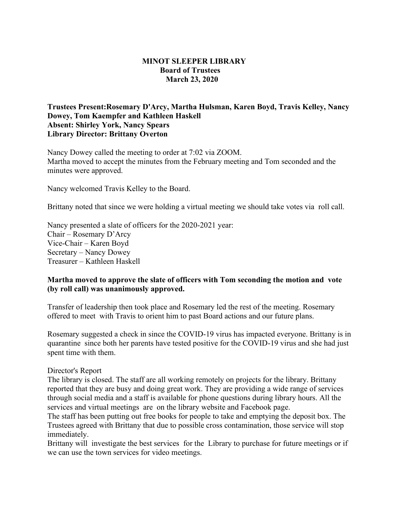## **MINOT SLEEPER LIBRARY Board of Trustees March 23, 2020**

## **Trustees Present:Rosemary D'Arcy, Martha Hulsman, Karen Boyd, Travis Kelley, Nancy Dowey, Tom Kaempfer and Kathleen Haskell Absent: Shirley York, Nancy Spears Library Director: Brittany Overton**

Nancy Dowey called the meeting to order at 7:02 via ZOOM. Martha moved to accept the minutes from the February meeting and Tom seconded and the minutes were approved.

Nancy welcomed Travis Kelley to the Board.

Brittany noted that since we were holding a virtual meeting we should take votes via roll call.

Nancy presented a slate of officers for the 2020-2021 year: Chair – Rosemary D'Arcy Vice-Chair – Karen Boyd Secretary – Nancy Dowey Treasurer – Kathleen Haskell

## **Martha moved to approve the slate of officers with Tom seconding the motion and vote (by roll call) was unanimously approved.**

Transfer of leadership then took place and Rosemary led the rest of the meeting. Rosemary offered to meet with Travis to orient him to past Board actions and our future plans.

Rosemary suggested a check in since the COVID-19 virus has impacted everyone. Brittany is in quarantine since both her parents have tested positive for the COVID-19 virus and she had just spent time with them.

## Director's Report

The library is closed. The staff are all working remotely on projects for the library. Brittany reported that they are busy and doing great work. They are providing a wide range of services through social media and a staff is available for phone questions during library hours. All the services and virtual meetings are on the library website and Facebook page.

The staff has been putting out free books for people to take and emptying the deposit box. The Trustees agreed with Brittany that due to possible cross contamination, those service will stop immediately.

Brittany will investigate the best services for the Library to purchase for future meetings or if we can use the town services for video meetings.